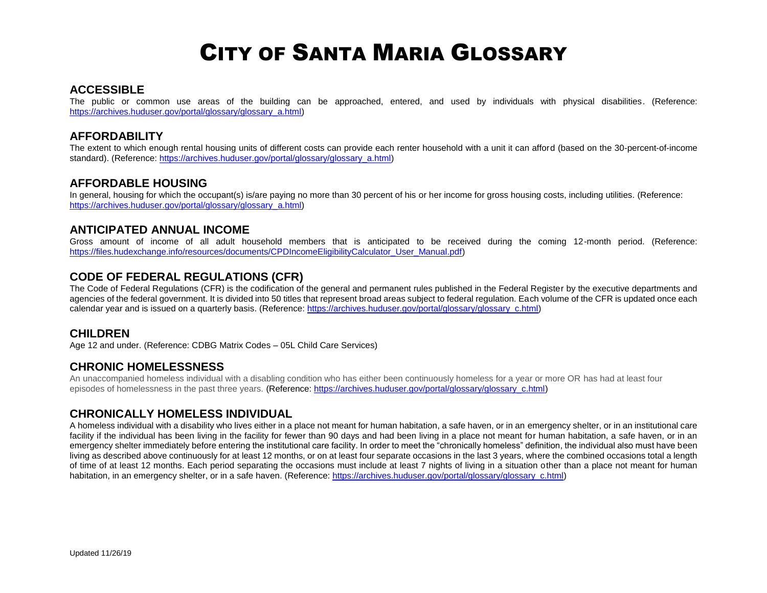#### **ACCESSIBLE**

The public or common use areas of the building can be approached, entered, and used by individuals with physical disabilities. (Reference: [https://archives.huduser.gov/portal/glossary/glossary\\_a.html\)](https://archives.huduser.gov/portal/glossary/glossary_a.html)

## **AFFORDABILITY**

The extent to which enough rental housing units of different costs can provide each renter household with a unit it can afford (based on the 30-percent-of-income standard). (Reference[: https://archives.huduser.gov/portal/glossary/glossary\\_a.html\)](https://archives.huduser.gov/portal/glossary/glossary_a.html)

#### **AFFORDABLE HOUSING**

In general, housing for which the occupant(s) is/are paying no more than 30 percent of his or her income for gross housing costs, including utilities. (Reference: [https://archives.huduser.gov/portal/glossary/glossary\\_a.html\)](https://archives.huduser.gov/portal/glossary/glossary_a.html)

## **ANTICIPATED ANNUAL INCOME**

Gross amount of income of all adult household members that is anticipated to be received during the coming 12-month period. (Reference: [https://files.hudexchange.info/resources/documents/CPDIncomeEligibilityCalculator\\_User\\_Manual.pdf\)](https://files.hudexchange.info/resources/documents/CPDIncomeEligibilityCalculator_User_Manual.pdf)

## **CODE OF FEDERAL REGULATIONS (CFR)**

The Code of Federal Regulations (CFR) is the codification of the general and permanent rules published in the Federal Register by the executive departments and agencies of the federal government. It is divided into 50 titles that represent broad areas subject to federal regulation. Each volume of the CFR is updated once each calendar year and is issued on a quarterly basis. (Reference: [https://archives.huduser.gov/portal/glossary/glossary\\_c.html\)](https://archives.huduser.gov/portal/glossary/glossary_c.html)

# **CHILDREN**

Age 12 and under. (Reference: CDBG Matrix Codes – 05L Child Care Services)

## **CHRONIC HOMELESSNESS**

An unaccompanied homeless individual with a disabling condition who has either been continuously homeless for a year or more OR has had at least four episodes of homelessness in the past three years. (Reference: [https://archives.huduser.gov/portal/glossary/glossary\\_c.html\)](https://archives.huduser.gov/portal/glossary/glossary_c.html)

## **CHRONICALLY HOMELESS INDIVIDUAL**

A homeless individual with a disability who lives either in a place not meant for human habitation, a safe haven, or in an emergency shelter, or in an institutional care facility if the individual has been living in the facility for fewer than 90 days and had been living in a place not meant for human habitation, a safe haven, or in an emergency shelter immediately before entering the institutional care facility. In order to meet the "chronically homeless" definition, the individual also must have been living as described above continuously for at least 12 months, or on at least four separate occasions in the last 3 years, where the combined occasions total a length of time of at least 12 months. Each period separating the occasions must include at least 7 nights of living in a situation other than a place not meant for human habitation, in an emergency shelter, or in a safe haven. (Reference: [https://archives.huduser.gov/portal/glossary/glossary\\_c.html\)](https://archives.huduser.gov/portal/glossary/glossary_c.html)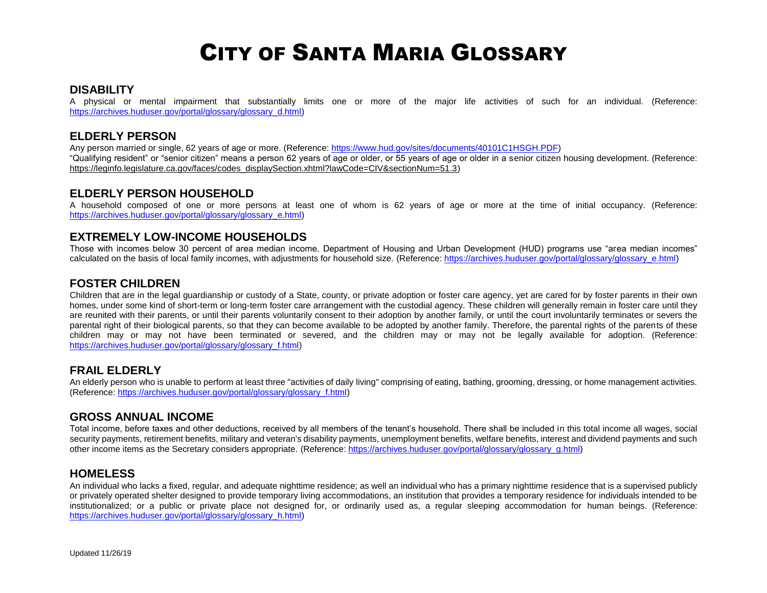### **DISABILITY**

A physical or mental impairment that substantially limits one or more of the major life activities of such for an individual. (Reference: [https://archives.huduser.gov/portal/glossary/glossary\\_d.html\)](https://archives.huduser.gov/portal/glossary/glossary_d.html)

## **ELDERLY PERSON**

Any person married or single, 62 years of age or more. (Reference: [https://www.hud.gov/sites/documents/40101C1HSGH.PDF\)](https://www.hud.gov/sites/documents/40101C1HSGH.PDF) "Qualifying resident" or "senior citizen" means a person 62 years of age or older, or 55 years of age or older in a senior citizen housing development. (Reference: [https://leginfo.legislature.ca.gov/faces/codes\\_displaySection.xhtml?lawCode=CIV&sectionNum=51.3\)](https://leginfo.legislature.ca.gov/faces/codes_displaySection.xhtml?lawCode=CIV§ionNum=51.3)

## **ELDERLY PERSON HOUSEHOLD**

A household composed of one or more persons at least one of whom is 62 years of age or more at the time of initial occupancy. (Reference: [https://archives.huduser.gov/portal/glossary/glossary\\_e.html\)](https://archives.huduser.gov/portal/glossary/glossary_e.html)

#### **EXTREMELY LOW-INCOME HOUSEHOLDS**

Those with incomes below 30 percent of area median income. Department of Housing and Urban Development (HUD) programs use "area median incomes" calculated on the basis of local family incomes, with adjustments for household size. (Reference[: https://archives.huduser.gov/portal/glossary/glossary\\_e.html\)](https://archives.huduser.gov/portal/glossary/glossary_e.html)

## **FOSTER CHILDREN**

Children that are in the legal guardianship or custody of a State, county, or private adoption or foster care agency, yet are cared for by foster parents in their own homes, under some kind of short-term or long-term foster care arrangement with the custodial agency. These children will generally remain in foster care until they are reunited with their parents, or until their parents voluntarily consent to their adoption by another family, or until the court involuntarily terminates or severs the parental right of their biological parents, so that they can become available to be adopted by another family. Therefore, the parental rights of the parents of these children may or may not have been terminated or severed, and the children may or may not be legally available for adoption. (Reference: [https://archives.huduser.gov/portal/glossary/glossary\\_f.html\)](https://archives.huduser.gov/portal/glossary/glossary_f.html)

## **FRAIL ELDERLY**

An elderly person who is unable to perform at least three "activities of daily living" comprising of eating, bathing, grooming, dressing, or home management activities. (Reference[: https://archives.huduser.gov/portal/glossary/glossary\\_f.html\)](https://archives.huduser.gov/portal/glossary/glossary_f.html)

#### **GROSS ANNUAL INCOME**

Total income, before taxes and other deductions, received by all members of the tenant's household. There shall be included in this total income all wages, social security payments, retirement benefits, military and veteran's disability payments, unemployment benefits, welfare benefits, interest and dividend payments and such other income items as the Secretary considers appropriate. (Reference[: https://archives.huduser.gov/portal/glossary/glossary\\_g.html\)](https://archives.huduser.gov/portal/glossary/glossary_g.html)

#### **HOMELESS**

An individual who lacks a fixed, regular, and adequate nighttime residence; as well an individual who has a primary nighttime residence that is a supervised publicly or privately operated shelter designed to provide temporary living accommodations, an institution that provides a temporary residence for individuals intended to be institutionalized; or a public or private place not designed for, or ordinarily used as, a regular sleeping accommodation for human beings. (Reference: [https://archives.huduser.gov/portal/glossary/glossary\\_h.html\)](https://archives.huduser.gov/portal/glossary/glossary_h.html)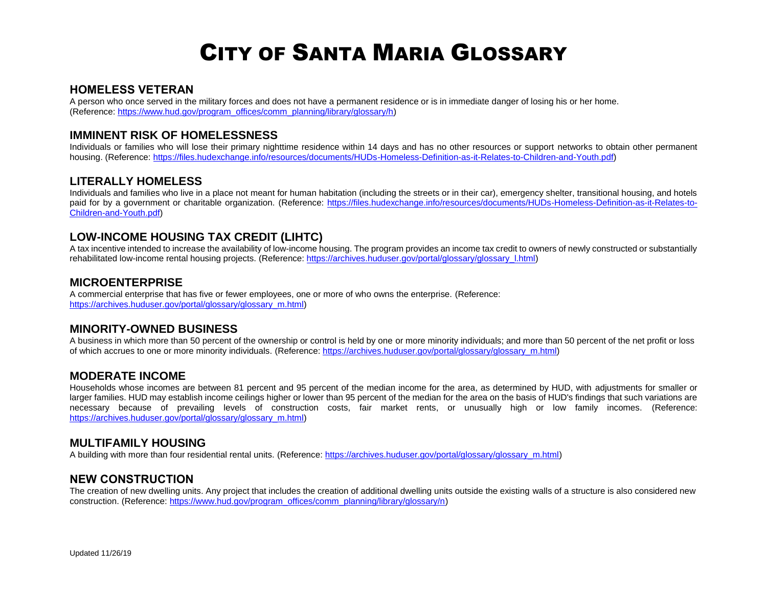#### **HOMELESS VETERAN**

A person who once served in the military forces and does not have a permanent residence or is in immediate danger of losing his or her home. (Reference[: https://www.hud.gov/program\\_offices/comm\\_planning/library/glossary/h\)](https://www.hud.gov/program_offices/comm_planning/library/glossary/h)

## **IMMINENT RISK OF HOMELESSNESS**

Individuals or families who will lose their primary nighttime residence within 14 days and has no other resources or support networks to obtain other permanent housing. (Reference: [https://files.hudexchange.info/resources/documents/HUDs-Homeless-Definition-as-it-Relates-to-Children-and-Youth.pdf\)](https://files.hudexchange.info/resources/documents/HUDs-Homeless-Definition-as-it-Relates-to-Children-and-Youth.pdf)

## **LITERALLY HOMELESS**

Individuals and families who live in a place not meant for human habitation (including the streets or in their car), emergency shelter, transitional housing, and hotels paid for by a government or charitable organization. (Reference: [https://files.hudexchange.info/resources/documents/HUDs-Homeless-Definition-as-it-Relates-to-](https://files.hudexchange.info/resources/documents/HUDs-Homeless-Definition-as-it-Relates-to-Children-and-Youth.pdf)[Children-and-Youth.pdf\)](https://files.hudexchange.info/resources/documents/HUDs-Homeless-Definition-as-it-Relates-to-Children-and-Youth.pdf)

# **LOW-INCOME HOUSING TAX CREDIT (LIHTC)**

A tax incentive intended to increase the availability of low-income housing. The program provides an income tax credit to owners of newly constructed or substantially rehabilitated low-income rental housing projects. (Reference[: https://archives.huduser.gov/portal/glossary/glossary\\_l.html\)](https://archives.huduser.gov/portal/glossary/glossary_l.html)

#### **MICROENTERPRISE**

A commercial enterprise that has five or fewer employees, one or more of who owns the enterprise. (Reference: [https://archives.huduser.gov/portal/glossary/glossary\\_m.html\)](https://archives.huduser.gov/portal/glossary/glossary_m.html)

#### **MINORITY-OWNED BUSINESS**

A business in which more than 50 percent of the ownership or control is held by one or more minority individuals; and more than 50 percent of the net profit or loss of which accrues to one or more minority individuals. (Reference: [https://archives.huduser.gov/portal/glossary/glossary\\_m.html\)](https://archives.huduser.gov/portal/glossary/glossary_m.html)

## **MODERATE INCOME**

Households whose incomes are between 81 percent and 95 percent of the median income for the area, as determined by HUD, with adjustments for smaller or larger families. HUD may establish income ceilings higher or lower than 95 percent of the median for the area on the basis of HUD's findings that such variations are necessary because of prevailing levels of construction costs, fair market rents, or unusually high or low family incomes. (Reference: [https://archives.huduser.gov/portal/glossary/glossary\\_m.html\)](https://archives.huduser.gov/portal/glossary/glossary_m.html)

## **MULTIFAMILY HOUSING**

A building with more than four residential rental units. (Reference[: https://archives.huduser.gov/portal/glossary/glossary\\_m.html\)](https://archives.huduser.gov/portal/glossary/glossary_m.html)

#### **NEW CONSTRUCTION**

The creation of new dwelling units. Any project that includes the creation of additional dwelling units outside the existing walls of a structure is also considered new construction. (Reference: [https://www.hud.gov/program\\_offices/comm\\_planning/library/glossary/n\)](https://www.hud.gov/program_offices/comm_planning/library/glossary/n)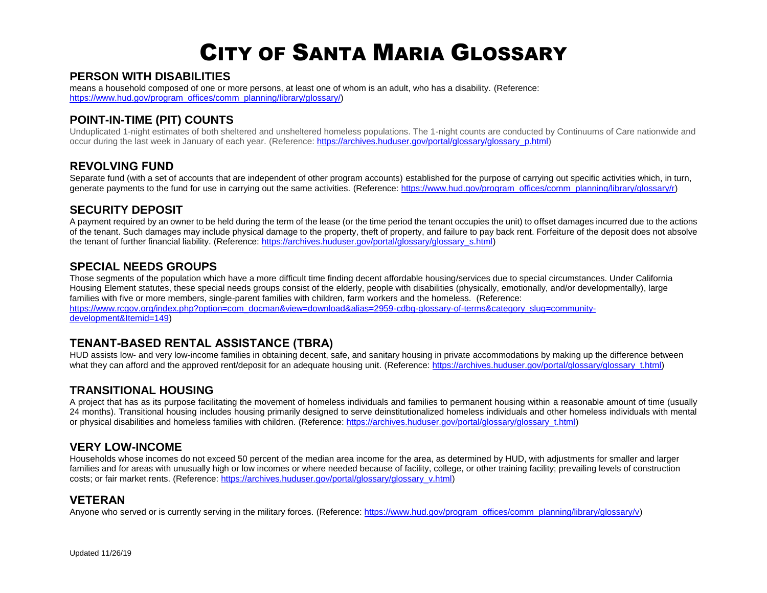# **PERSON WITH DISABILITIES**

means a household composed of one or more persons, at least one of whom is an adult, who has a disability. (Reference: [https://www.hud.gov/program\\_offices/comm\\_planning/library/glossary/\)](https://www.hud.gov/program_offices/comm_planning/library/glossary/p)

# **POINT-IN-TIME (PIT) COUNTS**

Unduplicated 1-night estimates of both sheltered and unsheltered homeless populations. The 1-night counts are conducted by Continuums of Care nationwide and occur during the last week in January of each year. (Reference: [https://archives.huduser.gov/portal/glossary/glossary\\_p.html\)](https://archives.huduser.gov/portal/glossary/glossary_p.html)

# **REVOLVING FUND**

Separate fund (with a set of accounts that are independent of other program accounts) established for the purpose of carrying out specific activities which, in turn, generate payments to the fund for use in carrying out the same activities. (Reference: [https://www.hud.gov/program\\_offices/comm\\_planning/library/glossary/r\)](https://www.hud.gov/program_offices/comm_planning/library/glossary/r)

# **SECURITY DEPOSIT**

A payment required by an owner to be held during the term of the lease (or the time period the tenant occupies the unit) to offset damages incurred due to the actions of the tenant. Such damages may include physical damage to the property, theft of property, and failure to pay back rent. Forfeiture of the deposit does not absolve the tenant of further financial liability. (Reference: [https://archives.huduser.gov/portal/glossary/glossary\\_s.html\)](https://archives.huduser.gov/portal/glossary/glossary_s.html)

## **SPECIAL NEEDS GROUPS**

Those segments of the population which have a more difficult time finding decent affordable housing/services due to special circumstances. Under California Housing Element statutes, these special needs groups consist of the elderly, people with disabilities (physically, emotionally, and/or developmentally), large families with five or more members, single-parent families with children, farm workers and the homeless. (Reference: [https://www.rcgov.org/index.php?option=com\\_docman&view=download&alias=2959-cdbg-glossary-of-terms&category\\_slug=community](https://www.rcgov.org/index.php?option=com_docman&view=download&alias=2959-cdbg-glossary-of-terms&category_slug=community-development&Itemid=149)[development&Itemid=149\)](https://www.rcgov.org/index.php?option=com_docman&view=download&alias=2959-cdbg-glossary-of-terms&category_slug=community-development&Itemid=149)

# **TENANT-BASED RENTAL ASSISTANCE (TBRA)**

HUD assists low- and very low-income families in obtaining decent, safe, and sanitary housing in private accommodations by making up the difference between what they can afford and the approved rent/deposit for an adequate housing unit. (Reference: [https://archives.huduser.gov/portal/glossary/glossary\\_t.html\)](https://archives.huduser.gov/portal/glossary/glossary_t.html)

## **TRANSITIONAL HOUSING**

A project that has as its purpose facilitating the movement of homeless individuals and families to permanent housing within a reasonable amount of time (usually 24 months). Transitional housing includes housing primarily designed to serve deinstitutionalized homeless individuals and other homeless individuals with mental or physical disabilities and homeless families with children. (Reference[: https://archives.huduser.gov/portal/glossary/glossary\\_t.html\)](https://archives.huduser.gov/portal/glossary/glossary_t.html)

# **VERY LOW-INCOME**

Households whose incomes do not exceed 50 percent of the median area income for the area, as determined by HUD, with adjustments for smaller and larger families and for areas with unusually high or low incomes or where needed because of facility, college, or other training facility; prevailing levels of construction costs; or fair market rents. (Reference: [https://archives.huduser.gov/portal/glossary/glossary\\_v.html\)](https://archives.huduser.gov/portal/glossary/glossary_v.html)

## **VETERAN**

Anyone who served or is currently serving in the military forces. (Reference: [https://www.hud.gov/program\\_offices/comm\\_planning/library/glossary/v\)](https://www.hud.gov/program_offices/comm_planning/library/glossary/v)